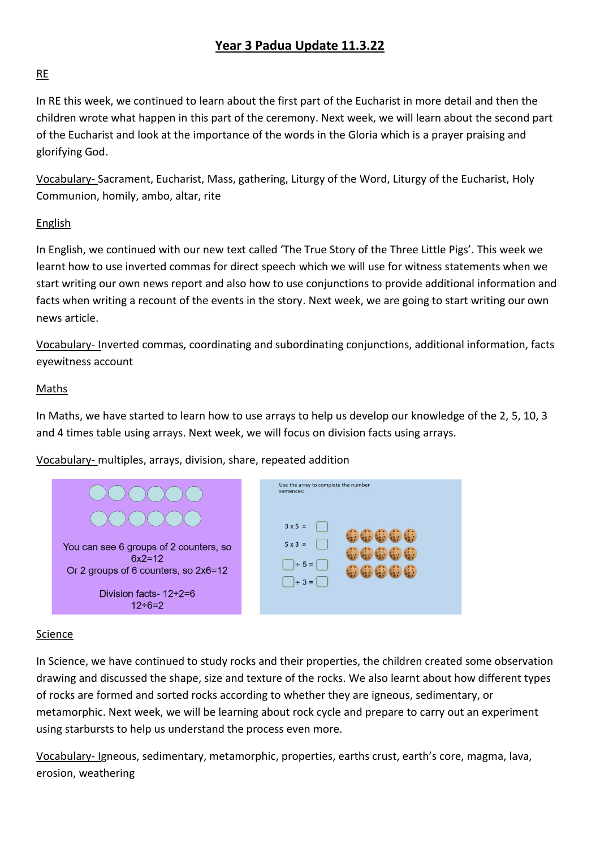# **Year 3 Padua Update 11.3.22**

## RE

In RE this week, we continued to learn about the first part of the Eucharist in more detail and then the children wrote what happen in this part of the ceremony. Next week, we will learn about the second part of the Eucharist and look at the importance of the words in the Gloria which is a prayer praising and glorifying God.

Vocabulary- Sacrament, Eucharist, Mass, gathering, Liturgy of the Word, Liturgy of the Eucharist, Holy Communion, homily, ambo, altar, rite

## English

In English, we continued with our new text called 'The True Story of the Three Little Pigs'. This week we learnt how to use inverted commas for direct speech which we will use for witness statements when we start writing our own news report and also how to use conjunctions to provide additional information and facts when writing a recount of the events in the story. Next week, we are going to start writing our own news article.

Vocabulary- Inverted commas, coordinating and subordinating conjunctions, additional information, facts eyewitness account

#### Maths

In Maths, we have started to learn how to use arrays to help us develop our knowledge of the 2, 5, 10, 3 and 4 times table using arrays. Next week, we will focus on division facts using arrays.

Vocabulary- multiples, arrays, division, share, repeated addition



#### Science

In Science, we have continued to study rocks and their properties, the children created some observation drawing and discussed the shape, size and texture of the rocks. We also learnt about how different types of rocks are formed and sorted rocks according to whether they are igneous, sedimentary, or metamorphic. Next week, we will be learning about rock cycle and prepare to carry out an experiment using starbursts to help us understand the process even more.

Vocabulary- Igneous, sedimentary, metamorphic, properties, earths crust, earth's core, magma, lava, erosion, weathering